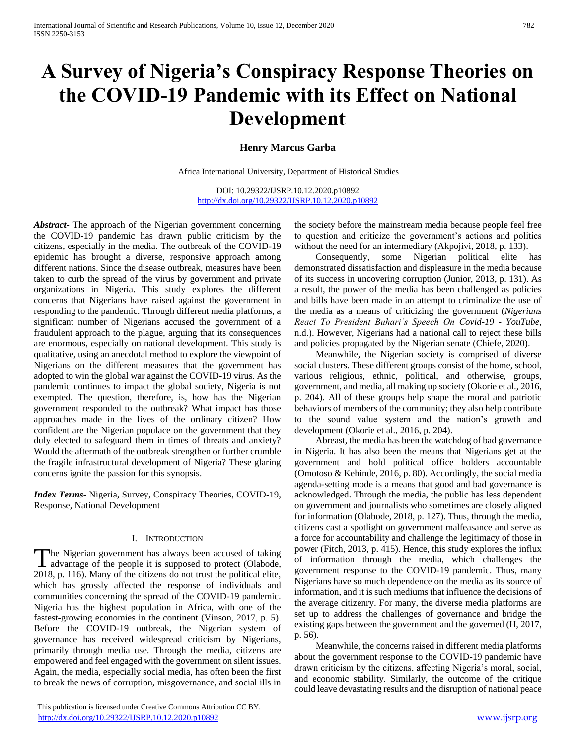# **A Survey of Nigeria's Conspiracy Response Theories on the COVID-19 Pandemic with its Effect on National Development**

# **Henry Marcus Garba**

Africa International University, Department of Historical Studies

DOI: 10.29322/IJSRP.10.12.2020.p10892 <http://dx.doi.org/10.29322/IJSRP.10.12.2020.p10892>

*Abstract***-** The approach of the Nigerian government concerning the COVID-19 pandemic has drawn public criticism by the citizens, especially in the media. The outbreak of the COVID-19 epidemic has brought a diverse, responsive approach among different nations. Since the disease outbreak, measures have been taken to curb the spread of the virus by government and private organizations in Nigeria. This study explores the different concerns that Nigerians have raised against the government in responding to the pandemic. Through different media platforms, a significant number of Nigerians accused the government of a fraudulent approach to the plague, arguing that its consequences are enormous, especially on national development. This study is qualitative, using an anecdotal method to explore the viewpoint of Nigerians on the different measures that the government has adopted to win the global war against the COVID-19 virus. As the pandemic continues to impact the global society, Nigeria is not exempted. The question, therefore, is, how has the Nigerian government responded to the outbreak? What impact has those approaches made in the lives of the ordinary citizen? How confident are the Nigerian populace on the government that they duly elected to safeguard them in times of threats and anxiety? Would the aftermath of the outbreak strengthen or further crumble the fragile infrastructural development of Nigeria? These glaring concerns ignite the passion for this synopsis.

*Index Terms*- Nigeria, Survey, Conspiracy Theories, COVID-19, Response, National Development

#### I. INTRODUCTION

he Nigerian government has always been accused of taking The Nigerian government has always been accused of taking<br>advantage of the people it is supposed to protect (Olabode, 2018, p. 116). Many of the citizens do not trust the political elite, which has grossly affected the response of individuals and communities concerning the spread of the COVID-19 pandemic. Nigeria has the highest population in Africa, with one of the fastest-growing economies in the continent (Vinson, 2017, p. 5). Before the COVID-19 outbreak, the Nigerian system of governance has received widespread criticism by Nigerians, primarily through media use. Through the media, citizens are empowered and feel engaged with the government on silent issues. Again, the media, especially social media, has often been the first to break the news of corruption, misgovernance, and social ills in

 This publication is licensed under Creative Commons Attribution CC BY. <http://dx.doi.org/10.29322/IJSRP.10.12.2020.p10892> [www.ijsrp.org](http://ijsrp.org/)

the society before the mainstream media because people feel free to question and criticize the government's actions and politics without the need for an intermediary (Akpojivi, 2018, p. 133).

 Consequently, some Nigerian political elite has demonstrated dissatisfaction and displeasure in the media because of its success in uncovering corruption (Junior, 2013, p. 131). As a result, the power of the media has been challenged as policies and bills have been made in an attempt to criminalize the use of the media as a means of criticizing the government (*Nigerians React To President Buhari's Speech On Covid-19 - YouTube*, n.d.). However, Nigerians had a national call to reject these bills and policies propagated by the Nigerian senate (Chiefe, 2020).

 Meanwhile, the Nigerian society is comprised of diverse social clusters. These different groups consist of the home, school, various religious, ethnic, political, and otherwise, groups, government, and media, all making up society (Okorie et al., 2016, p. 204). All of these groups help shape the moral and patriotic behaviors of members of the community; they also help contribute to the sound value system and the nation's growth and development (Okorie et al., 2016, p. 204).

 Abreast, the media has been the watchdog of bad governance in Nigeria. It has also been the means that Nigerians get at the government and hold political office holders accountable (Omotoso & Kehinde, 2016, p. 80). Accordingly, the social media agenda-setting mode is a means that good and bad governance is acknowledged. Through the media, the public has less dependent on government and journalists who sometimes are closely aligned for information (Olabode, 2018, p. 127). Thus, through the media, citizens cast a spotlight on government malfeasance and serve as a force for accountability and challenge the legitimacy of those in power (Fitch, 2013, p. 415). Hence, this study explores the influx of information through the media, which challenges the government response to the COVID-19 pandemic. Thus, many Nigerians have so much dependence on the media as its source of information, and it is such mediums that influence the decisions of the average citizenry. For many, the diverse media platforms are set up to address the challenges of governance and bridge the existing gaps between the government and the governed (H, 2017, p. 56).

 Meanwhile, the concerns raised in different media platforms about the government response to the COVID-19 pandemic have drawn criticism by the citizens, affecting Nigeria's moral, social, and economic stability. Similarly, the outcome of the critique could leave devastating results and the disruption of national peace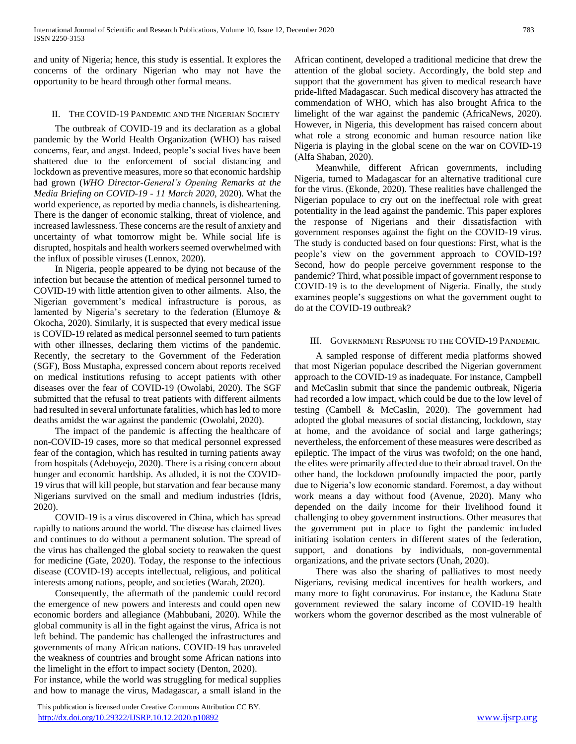and unity of Nigeria; hence, this study is essential. It explores the concerns of the ordinary Nigerian who may not have the opportunity to be heard through other formal means.

#### II. THE COVID-19 PANDEMIC AND THE NIGERIAN SOCIETY

 The outbreak of COVID-19 and its declaration as a global pandemic by the World Health Organization (WHO) has raised concerns, fear, and angst. Indeed, people's social lives have been shattered due to the enforcement of social distancing and lockdown as preventive measures, more so that economic hardship had grown (*WHO Director-General's Opening Remarks at the Media Briefing on COVID-19 - 11 March 2020*, 2020). What the world experience, as reported by media channels, is disheartening. There is the danger of economic stalking, threat of violence, and increased lawlessness. These concerns are the result of anxiety and uncertainty of what tomorrow might be. While social life is disrupted, hospitals and health workers seemed overwhelmed with the influx of possible viruses (Lennox, 2020).

 In Nigeria, people appeared to be dying not because of the infection but because the attention of medical personnel turned to COVID-19 with little attention given to other ailments. Also, the Nigerian government's medical infrastructure is porous, as lamented by Nigeria's secretary to the federation (Elumoye & Okocha, 2020). Similarly, it is suspected that every medical issue is COVID-19 related as medical personnel seemed to turn patients with other illnesses, declaring them victims of the pandemic. Recently, the secretary to the Government of the Federation (SGF), Boss Mustapha, expressed concern about reports received on medical institutions refusing to accept patients with other diseases over the fear of COVID-19 (Owolabi, 2020). The SGF submitted that the refusal to treat patients with different ailments had resulted in several unfortunate fatalities, which has led to more deaths amidst the war against the pandemic (Owolabi, 2020).

 The impact of the pandemic is affecting the healthcare of non-COVID-19 cases, more so that medical personnel expressed fear of the contagion, which has resulted in turning patients away from hospitals (Adeboyejo, 2020). There is a rising concern about hunger and economic hardship. As alluded, it is not the COVID-19 virus that will kill people, but starvation and fear because many Nigerians survived on the small and medium industries (Idris, 2020).

 COVID-19 is a virus discovered in China, which has spread rapidly to nations around the world. The disease has claimed lives and continues to do without a permanent solution. The spread of the virus has challenged the global society to reawaken the quest for medicine (Gate, 2020). Today, the response to the infectious disease (COVID-19) accepts intellectual, religious, and political interests among nations, people, and societies (Warah, 2020).

 Consequently, the aftermath of the pandemic could record the emergence of new powers and interests and could open new economic borders and allegiance (Mahbubani, 2020). While the global community is all in the fight against the virus, Africa is not left behind. The pandemic has challenged the infrastructures and governments of many African nations. COVID-19 has unraveled the weakness of countries and brought some African nations into the limelight in the effort to impact society (Denton, 2020). For instance, while the world was struggling for medical supplies and how to manage the virus, Madagascar, a small island in the

 This publication is licensed under Creative Commons Attribution CC BY. <http://dx.doi.org/10.29322/IJSRP.10.12.2020.p10892> [www.ijsrp.org](http://ijsrp.org/)

African continent, developed a traditional medicine that drew the attention of the global society. Accordingly, the bold step and support that the government has given to medical research have pride-lifted Madagascar. Such medical discovery has attracted the commendation of WHO, which has also brought Africa to the limelight of the war against the pandemic (AfricaNews, 2020). However, in Nigeria, this development has raised concern about what role a strong economic and human resource nation like Nigeria is playing in the global scene on the war on COVID-19 (Alfa Shaban, 2020).

 Meanwhile, different African governments, including Nigeria, turned to Madagascar for an alternative traditional cure for the virus. (Ekonde, 2020). These realities have challenged the Nigerian populace to cry out on the ineffectual role with great potentiality in the lead against the pandemic. This paper explores the response of Nigerians and their dissatisfaction with government responses against the fight on the COVID-19 virus. The study is conducted based on four questions: First, what is the people's view on the government approach to COVID-19? Second, how do people perceive government response to the pandemic? Third, what possible impact of government response to COVID-19 is to the development of Nigeria. Finally, the study examines people's suggestions on what the government ought to do at the COVID-19 outbreak?

## III. GOVERNMENT RESPONSE TO THE COVID-19 PANDEMIC

 A sampled response of different media platforms showed that most Nigerian populace described the Nigerian government approach to the COVID-19 as inadequate. For instance, Campbell and McCaslin submit that since the pandemic outbreak, Nigeria had recorded a low impact, which could be due to the low level of testing (Cambell & McCaslin, 2020). The government had adopted the global measures of social distancing, lockdown, stay at home, and the avoidance of social and large gatherings; nevertheless, the enforcement of these measures were described as epileptic. The impact of the virus was twofold; on the one hand, the elites were primarily affected due to their abroad travel. On the other hand, the lockdown profoundly impacted the poor, partly due to Nigeria's low economic standard. Foremost, a day without work means a day without food (Avenue, 2020). Many who depended on the daily income for their livelihood found it challenging to obey government instructions. Other measures that the government put in place to fight the pandemic included initiating isolation centers in different states of the federation, support, and donations by individuals, non-governmental organizations, and the private sectors (Unah, 2020).

 There was also the sharing of palliatives to most needy Nigerians, revising medical incentives for health workers, and many more to fight coronavirus. For instance, the Kaduna State government reviewed the salary income of COVID-19 health workers whom the governor described as the most vulnerable of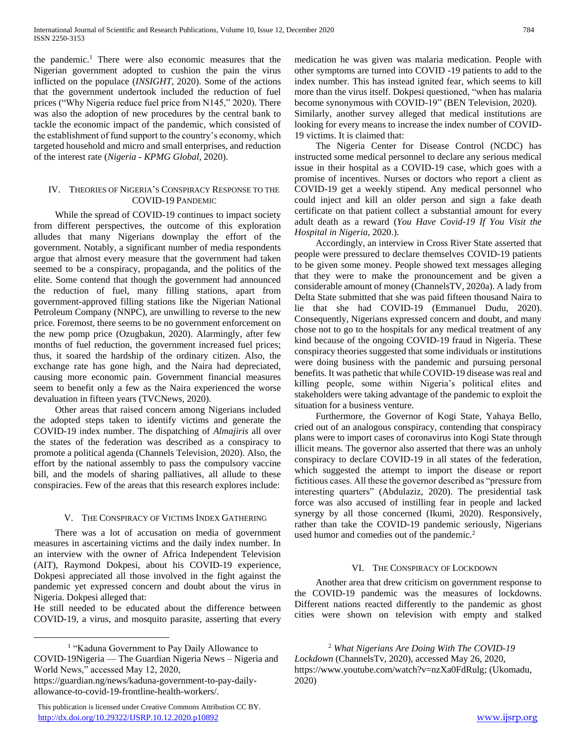the pandemic.<sup>1</sup> There were also economic measures that the Nigerian government adopted to cushion the pain the virus inflicted on the populace (*INSIGHT*, 2020). Some of the actions that the government undertook included the reduction of fuel prices ("Why Nigeria reduce fuel price from N145," 2020). There was also the adoption of new procedures by the central bank to tackle the economic impact of the pandemic, which consisted of the establishment of fund support to the country's economy, which targeted household and micro and small enterprises, and reduction of the interest rate (*Nigeria - KPMG Global*, 2020).

#### IV. THEORIES OF NIGERIA'S CONSPIRACY RESPONSE TO THE COVID-19 PANDEMIC

 While the spread of COVID-19 continues to impact society from different perspectives, the outcome of this exploration alludes that many Nigerians downplay the effort of the government. Notably, a significant number of media respondents argue that almost every measure that the government had taken seemed to be a conspiracy, propaganda, and the politics of the elite. Some contend that though the government had announced the reduction of fuel, many filling stations, apart from government-approved filling stations like the Nigerian National Petroleum Company (NNPC), are unwilling to reverse to the new price. Foremost, there seems to be no government enforcement on the new pomp price (Ozugbakun, 2020). Alarmingly, after few months of fuel reduction, the government increased fuel prices; thus, it soared the hardship of the ordinary citizen. Also, the exchange rate has gone high, and the Naira had depreciated, causing more economic pain. Government financial measures seem to benefit only a few as the Naira experienced the worse devaluation in fifteen years (TVCNews, 2020).

 Other areas that raised concern among Nigerians included the adopted steps taken to identify victims and generate the COVID-19 index number. The dispatching of *Almajiris* all over the states of the federation was described as a conspiracy to promote a political agenda (Channels Television, 2020). Also, the effort by the national assembly to pass the compulsory vaccine bill, and the models of sharing palliatives, all allude to these conspiracies. Few of the areas that this research explores include:

## V. THE CONSPIRACY OF VICTIMS INDEX GATHERING

 There was a lot of accusation on media of government measures in ascertaining victims and the daily index number. In an interview with the owner of Africa Independent Television (AIT), Raymond Dokpesi, about his COVID-19 experience, Dokpesi appreciated all those involved in the fight against the pandemic yet expressed concern and doubt about the virus in Nigeria. Dokpesi alleged that:

He still needed to be educated about the difference between COVID-19, a virus, and mosquito parasite, asserting that every

 $\overline{a}$ 

medication he was given was malaria medication. People with other symptoms are turned into COVID -19 patients to add to the index number. This has instead ignited fear, which seems to kill more than the virus itself. Dokpesi questioned, "when has malaria become synonymous with COVID-19" (BEN Television, 2020). Similarly, another survey alleged that medical institutions are looking for every means to increase the index number of COVID-19 victims. It is claimed that:

 The Nigeria Center for Disease Control (NCDC) has instructed some medical personnel to declare any serious medical issue in their hospital as a COVID-19 case, which goes with a promise of incentives. Nurses or doctors who report a client as COVID-19 get a weekly stipend. Any medical personnel who could inject and kill an older person and sign a fake death certificate on that patient collect a substantial amount for every adult death as a reward (*You Have Covid-19 If You Visit the Hospital in Nigeria*, 2020.).

 Accordingly, an interview in Cross River State asserted that people were pressured to declare themselves COVID-19 patients to be given some money. People showed text messages alleging that they were to make the pronouncement and be given a considerable amount of money (ChannelsTV, 2020a). A lady from Delta State submitted that she was paid fifteen thousand Naira to lie that she had COVID-19 (Emmanuel Dudu, 2020). Consequently, Nigerians expressed concern and doubt, and many chose not to go to the hospitals for any medical treatment of any kind because of the ongoing COVID-19 fraud in Nigeria. These conspiracy theories suggested that some individuals or institutions were doing business with the pandemic and pursuing personal benefits. It was pathetic that while COVID-19 disease was real and killing people, some within Nigeria's political elites and stakeholders were taking advantage of the pandemic to exploit the situation for a business venture.

 Furthermore, the Governor of Kogi State, Yahaya Bello, cried out of an analogous conspiracy, contending that conspiracy plans were to import cases of coronavirus into Kogi State through illicit means. The governor also asserted that there was an unholy conspiracy to declare COVID-19 in all states of the federation, which suggested the attempt to import the disease or report fictitious cases. All these the governor described as "pressure from interesting quarters" (Abdulaziz, 2020). The presidential task force was also accused of instilling fear in people and lacked synergy by all those concerned (Ikumi, 2020). Responsively, rather than take the COVID-19 pandemic seriously, Nigerians used humor and comedies out of the pandemic.<sup>2</sup>

## VI. THE CONSPIRACY OF LOCKDOWN

 Another area that drew criticism on government response to the COVID-19 pandemic was the measures of lockdowns. Different nations reacted differently to the pandemic as ghost cities were shown on television with empty and stalked

<sup>2</sup> *What Nigerians Are Doing With The COVID-19 Lockdown* (ChannelsTv, 2020), accessed May 26, 2020, https://www.youtube.com/watch?v=nzXa0FdRulg; (Ukomadu, 2020)

<sup>&</sup>lt;sup>1</sup> "Kaduna Government to Pay Daily Allowance to COVID-19Nigeria — The Guardian Nigeria News – Nigeria and World News," accessed May 12, 2020,

https://guardian.ng/news/kaduna-government-to-pay-dailyallowance-to-covid-19-frontline-health-workers/.

This publication is licensed under Creative Commons Attribution CC BY. <http://dx.doi.org/10.29322/IJSRP.10.12.2020.p10892> [www.ijsrp.org](http://ijsrp.org/)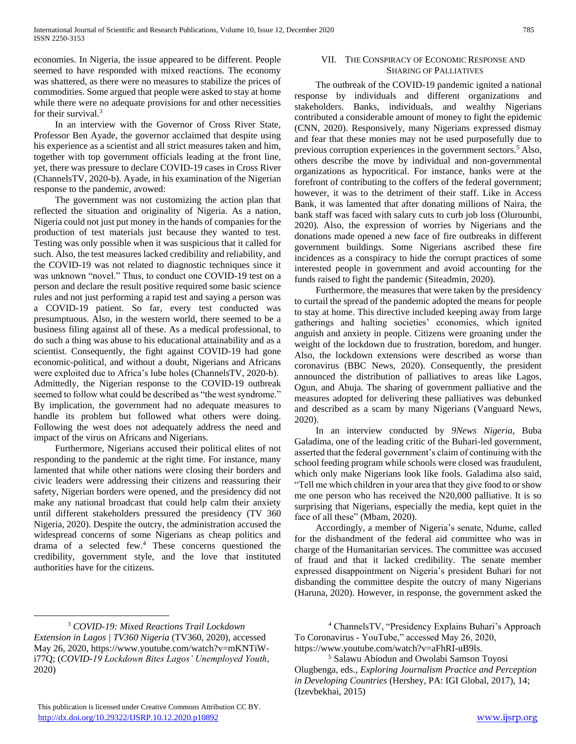economies. In Nigeria, the issue appeared to be different. People seemed to have responded with mixed reactions. The economy was shattered, as there were no measures to stabilize the prices of commodities. Some argued that people were asked to stay at home while there were no adequate provisions for and other necessities for their survival.<sup>3</sup>

 In an interview with the Governor of Cross River State, Professor Ben Ayade, the governor acclaimed that despite using his experience as a scientist and all strict measures taken and him, together with top government officials leading at the front line, yet, there was pressure to declare COVID-19 cases in Cross River (ChannelsTV, 2020-b). Ayade, in his examination of the Nigerian response to the pandemic, avowed:

 The government was not customizing the action plan that reflected the situation and originality of Nigeria. As a nation, Nigeria could not just put money in the hands of companies for the production of test materials just because they wanted to test. Testing was only possible when it was suspicious that it called for such. Also, the test measures lacked credibility and reliability, and the COVID-19 was not related to diagnostic techniques since it was unknown "novel." Thus, to conduct one COVID-19 test on a person and declare the result positive required some basic science rules and not just performing a rapid test and saying a person was a COVID-19 patient. So far, every test conducted was presumptuous. Also, in the western world, there seemed to be a business filing against all of these. As a medical professional, to do such a thing was abuse to his educational attainability and as a scientist. Consequently, the fight against COVID-19 had gone economic-political, and without a doubt, Nigerians and Africans were exploited due to Africa's lube holes (ChannelsTV, 2020-b). Admittedly, the Nigerian response to the COVID-19 outbreak seemed to follow what could be described as "the west syndrome." By implication, the government had no adequate measures to handle its problem but followed what others were doing. Following the west does not adequately address the need and impact of the virus on Africans and Nigerians.

 Furthermore, Nigerians accused their political elites of not responding to the pandemic at the right time. For instance, many lamented that while other nations were closing their borders and civic leaders were addressing their citizens and reassuring their safety, Nigerian borders were opened, and the presidency did not make any national broadcast that could help calm their anxiety until different stakeholders pressured the presidency (TV 360 Nigeria, 2020). Despite the outcry, the administration accused the widespread concerns of some Nigerians as cheap politics and drama of a selected few.<sup>4</sup> These concerns questioned the credibility, government style, and the love that instituted authorities have for the citizens.

#### VII. THE CONSPIRACY OF ECONOMIC RESPONSE AND SHARING OF PALLIATIVES

 The outbreak of the COVID-19 pandemic ignited a national response by individuals and different organizations and stakeholders. Banks, individuals, and wealthy Nigerians contributed a considerable amount of money to fight the epidemic (CNN, 2020). Responsively, many Nigerians expressed dismay and fear that these monies may not be used purposefully due to previous corruption experiences in the government sectors.<sup>5</sup> Also, others describe the move by individual and non-governmental organizations as hypocritical. For instance, banks were at the forefront of contributing to the coffers of the federal government; however, it was to the detriment of their staff. Like in Access Bank, it was lamented that after donating millions of Naira, the bank staff was faced with salary cuts to curb job loss (Olurounbi, 2020). Also, the expression of worries by Nigerians and the donations made opened a new face of fire outbreaks in different government buildings. Some Nigerians ascribed these fire incidences as a conspiracy to hide the corrupt practices of some interested people in government and avoid accounting for the funds raised to fight the pandemic (Siteadmin, 2020).

 Furthermore, the measures that were taken by the presidency to curtail the spread of the pandemic adopted the means for people to stay at home. This directive included keeping away from large gatherings and halting societies' economies, which ignited anguish and anxiety in people. Citizens were groaning under the weight of the lockdown due to frustration, boredom, and hunger. Also, the lockdown extensions were described as worse than coronavirus (BBC News, 2020). Consequently, the president announced the distribution of palliatives to areas like Lagos, Ogun, and Abuja. The sharing of government palliative and the measures adopted for delivering these palliatives was debunked and described as a scam by many Nigerians (Vanguard News, 2020).

 In an interview conducted by *9News Nigeria,* Buba Galadima, one of the leading critic of the Buhari-led government, asserted that the federal government's claim of continuing with the school feeding program while schools were closed was fraudulent, which only make Nigerians look like fools. Galadima also said, "Tell me which children in your area that they give food to or show me one person who has received the N20,000 palliative. It is so surprising that Nigerians, especially the media, kept quiet in the face of all these" (Mbam, 2020).

 Accordingly, a member of Nigeria's senate, Ndume, called for the disbandment of the federal aid committee who was in charge of the Humanitarian services. The committee was accused of fraud and that it lacked credibility. The senate member expressed disappointment on Nigeria's president Buhari for not disbanding the committee despite the outcry of many Nigerians (Haruna, 2020). However, in response, the government asked the

 $\overline{a}$ 

<sup>5</sup> Salawu Abiodun and Owolabi Samson Toyosi Olugbenga, eds., *Exploring Journalism Practice and Perception in Developing Countries* (Hershey, PA: IGI Global, 2017), 14; (Izevbekhai, 2015)

<sup>3</sup> *COVID-19: Mixed Reactions Trail Lockdown Extension in Lagos | TV360 Nigeria* (TV360, 2020), accessed May 26, 2020, https://www.youtube.com/watch?v=mKNTiWi77Q; (*COVID-19 Lockdown Bites Lagos' Unemployed Youth*, 2020)

<sup>4</sup> ChannelsTV, "Presidency Explains Buhari's Approach To Coronavirus - YouTube," accessed May 26, 2020, https://www.youtube.com/watch?v=aFhRI-uB9ls.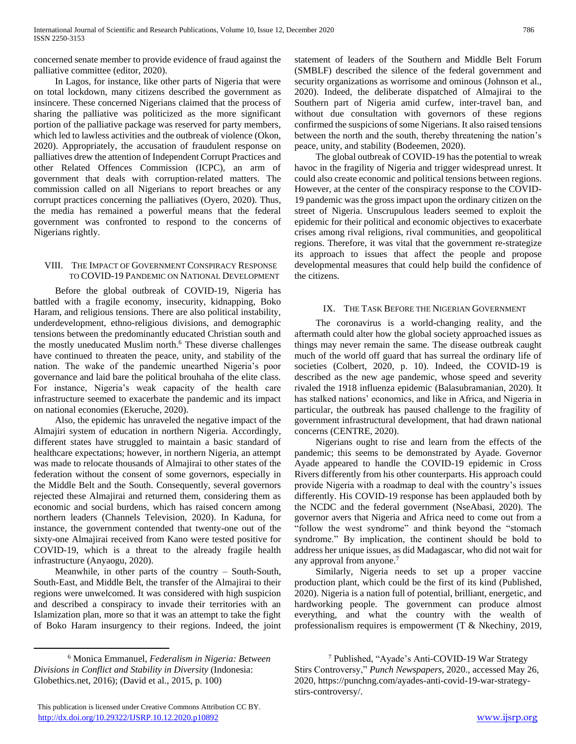concerned senate member to provide evidence of fraud against the palliative committee (editor, 2020).

 In Lagos, for instance, like other parts of Nigeria that were on total lockdown, many citizens described the government as insincere. These concerned Nigerians claimed that the process of sharing the palliative was politicized as the more significant portion of the palliative package was reserved for party members, which led to lawless activities and the outbreak of violence (Okon, 2020). Appropriately, the accusation of fraudulent response on palliatives drew the attention of Independent Corrupt Practices and other Related Offences Commission (ICPC), an arm of government that deals with corruption-related matters. The commission called on all Nigerians to report breaches or any corrupt practices concerning the palliatives (Oyero, 2020). Thus, the media has remained a powerful means that the federal government was confronted to respond to the concerns of Nigerians rightly.

## VIII. THE IMPACT OF GOVERNMENT CONSPIRACY RESPONSE TO COVID-19 PANDEMIC ON NATIONAL DEVELOPMENT

 Before the global outbreak of COVID-19, Nigeria has battled with a fragile economy, insecurity, kidnapping, Boko Haram, and religious tensions. There are also political instability, underdevelopment, ethno-religious divisions, and demographic tensions between the predominantly educated Christian south and the mostly uneducated Muslim north.<sup>6</sup> These diverse challenges have continued to threaten the peace, unity, and stability of the nation. The wake of the pandemic unearthed Nigeria's poor governance and laid bare the political brouhaha of the elite class. For instance, Nigeria's weak capacity of the health care infrastructure seemed to exacerbate the pandemic and its impact on national economies (Ekeruche, 2020).

 Also, the epidemic has unraveled the negative impact of the Almajiri system of education in northern Nigeria. Accordingly, different states have struggled to maintain a basic standard of healthcare expectations; however, in northern Nigeria, an attempt was made to relocate thousands of Almajirai to other states of the federation without the consent of some governors, especially in the Middle Belt and the South. Consequently, several governors rejected these Almajirai and returned them, considering them as economic and social burdens, which has raised concern among northern leaders (Channels Television, 2020). In Kaduna, for instance, the government contended that twenty-one out of the sixty-one Almajirai received from Kano were tested positive for COVID-19, which is a threat to the already fragile health infrastructure (Anyaogu, 2020).

 Meanwhile, in other parts of the country – South-South, South-East, and Middle Belt, the transfer of the Almajirai to their regions were unwelcomed. It was considered with high suspicion and described a conspiracy to invade their territories with an Islamization plan, more so that it was an attempt to take the fight of Boko Haram insurgency to their regions. Indeed, the joint

 $\overline{a}$ 

statement of leaders of the Southern and Middle Belt Forum (SMBLF) described the silence of the federal government and security organizations as worrisome and ominous (Johnson et al., 2020). Indeed, the deliberate dispatched of Almajirai to the Southern part of Nigeria amid curfew, inter-travel ban, and without due consultation with governors of these regions confirmed the suspicions of some Nigerians. It also raised tensions between the north and the south, thereby threatening the nation's peace, unity, and stability (Bodeemen, 2020).

 The global outbreak of COVID-19 has the potential to wreak havoc in the fragility of Nigeria and trigger widespread unrest. It could also create economic and political tensions between regions. However, at the center of the conspiracy response to the COVID-19 pandemic was the gross impact upon the ordinary citizen on the street of Nigeria. Unscrupulous leaders seemed to exploit the epidemic for their political and economic objectives to exacerbate crises among rival religions, rival communities, and geopolitical regions. Therefore, it was vital that the government re-strategize its approach to issues that affect the people and propose developmental measures that could help build the confidence of the citizens.

# IX. THE TASK BEFORE THE NIGERIAN GOVERNMENT

 The coronavirus is a world-changing reality, and the aftermath could alter how the global society approached issues as things may never remain the same. The disease outbreak caught much of the world off guard that has surreal the ordinary life of societies (Colbert, 2020, p. 10). Indeed, the COVID-19 is described as the new age pandemic, whose speed and severity rivaled the 1918 influenza epidemic (Balasubramanian, 2020). It has stalked nations' economics, and like in Africa, and Nigeria in particular, the outbreak has paused challenge to the fragility of government infrastructural development, that had drawn national concerns (CENTRE, 2020).

 Nigerians ought to rise and learn from the effects of the pandemic; this seems to be demonstrated by Ayade. Governor Ayade appeared to handle the COVID-19 epidemic in Cross Rivers differently from his other counterparts. His approach could provide Nigeria with a roadmap to deal with the country's issues differently. His COVID-19 response has been applauded both by the NCDC and the federal government (NseAbasi, 2020). The governor avers that Nigeria and Africa need to come out from a "follow the west syndrome" and think beyond the "stomach syndrome." By implication, the continent should be bold to address her unique issues, as did Madagascar, who did not wait for any approval from anyone.<sup>7</sup>

 Similarly, Nigeria needs to set up a proper vaccine production plant, which could be the first of its kind (Published, 2020). Nigeria is a nation full of potential, brilliant, energetic, and hardworking people. The government can produce almost everything, and what the country with the wealth of professionalism requires is empowerment (T & Nkechiny, 2019,

<sup>6</sup> Monica Emmanuel, *Federalism in Nigeria: Between Divisions in Conflict and Stability in Diversity* (Indonesia: Globethics.net, 2016); (David et al., 2015, p. 100)

<sup>7</sup> Published, "Ayade's Anti-COVID-19 War Strategy Stirs Controversy," *Punch Newspapers*, 2020., accessed May 26, 2020, https://punchng.com/ayades-anti-covid-19-war-strategystirs-controversy/.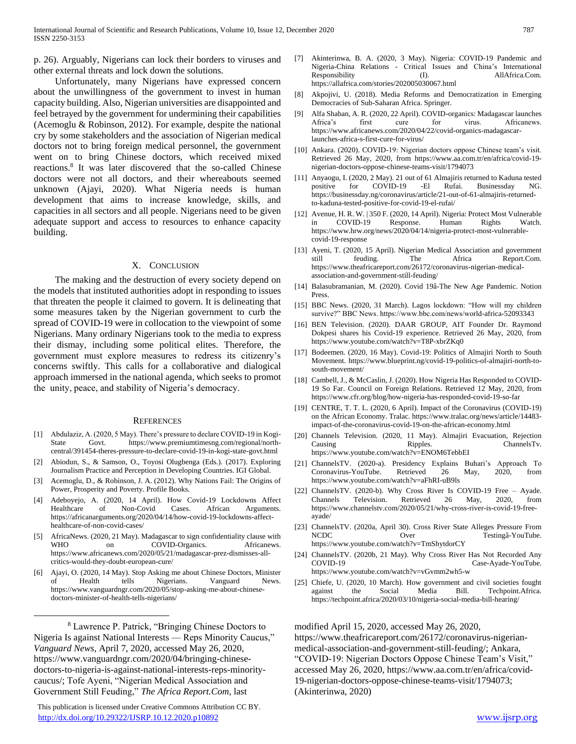p. 26). Arguably, Nigerians can lock their borders to viruses and other external threats and lock down the solutions.

 Unfortunately, many Nigerians have expressed concern about the unwillingness of the government to invest in human capacity building. Also, Nigerian universities are disappointed and feel betrayed by the government for undermining their capabilities (Acemoglu & Robinson, 2012). For example, despite the national cry by some stakeholders and the association of Nigerian medical doctors not to bring foreign medical personnel, the government went on to bring Chinese doctors, which received mixed reactions.<sup>8</sup> It was later discovered that the so-called Chinese doctors were not all doctors, and their whereabouts seemed unknown (Ajayi, 2020). What Nigeria needs is human development that aims to increase knowledge, skills, and capacities in all sectors and all people. Nigerians need to be given adequate support and access to resources to enhance capacity building.

#### X. CONCLUSION

 The making and the destruction of every society depend on the models that instituted authorities adopt in responding to issues that threaten the people it claimed to govern. It is delineating that some measures taken by the Nigerian government to curb the spread of COVID-19 were in collocation to the viewpoint of some Nigerians. Many ordinary Nigerians took to the media to express their dismay, including some political elites. Therefore, the government must explore measures to redress its citizenry's concerns swiftly. This calls for a collaborative and dialogical approach immersed in the national agenda, which seeks to promot the unity, peace, and stability of Nigeria's democracy.

#### **REFERENCES**

- [1] Abdulaziz, A. (2020, 5 May). There's pressure to declare COVID-19 in Kogi-State Govt. https://www.premiumtimesng.com/regional/northcentral/391454-theres-pressure-to-declare-covid-19-in-kogi-state-govt.html
- [2] Abiodun, S., & Samson, O., Toyosi Olugbenga (Eds.). (2017). Exploring Journalism Practice and Perception in Developing Countries. IGI Global.
- [3] Acemoglu, D., & Robinson, J. A. (2012). Why Nations Fail: The Origins of Power, Prosperity and Poverty. Profile Books.
- [4] Adeboyejo, A. (2020, 14 April). How Covid-19 Lockdowns Affect Healthcare of Non-Covid Cases. African Arguments. https://africanarguments.org/2020/04/14/how-covid-19-lockdowns-affecthealthcare-of-non-covid-cases/
- [5] AfricaNews. (2020, 21 May). Madagascar to sign confidentiality clause with WHO on COVID-Organics. Africanews. https://www.africanews.com/2020/05/21/madagascar-prez-dismisses-allcritics-would-they-doubt-european-cure/
- [6] Ajayi, O. (2020, 14 May). Stop Asking me about Chinese Doctors, Minister of Health tells Nigerians. Vanguard News. https://www.vanguardngr.com/2020/05/stop-asking-me-about-chinesedoctors-minister-of-health-tells-nigerians/

<sup>8</sup> Lawrence P. Patrick, "Bringing Chinese Doctors to Nigeria Is against National Interests — Reps Minority Caucus," *Vanguard News*, April 7, 2020, accessed May 26, 2020, https://www.vanguardngr.com/2020/04/bringing-chinesedoctors-to-nigeria-is-against-national-interests-reps-minoritycaucus/; Tofe Ayeni, "Nigerian Medical Association and Government Still Feuding," *The Africa Report.Com*, last

 $\overline{a}$ 

 This publication is licensed under Creative Commons Attribution CC BY. <http://dx.doi.org/10.29322/IJSRP.10.12.2020.p10892> [www.ijsrp.org](http://ijsrp.org/)

- [7] Akinterinwa, B. A. (2020, 3 May). Nigeria: COVID-19 Pandemic and Nigeria-China Relations - Critical Issues and China's International Responsibility (I). AllAfrica.Com. https://allafrica.com/stories/202005030067.html
- [8] Akpojivi, U. (2018). Media Reforms and Democratization in Emerging Democracies of Sub-Saharan Africa. Springer.
- [9] Alfa Shaban, A. R. (2020, 22 April). COVID-organics: Madagascar launches Africa's first cure for virus. Africanews. https://www.africanews.com/2020/04/22/covid-organics-madagascarlaunches-africa-s-first-cure-for-virus/
- [10] Ankara. (2020). COVID-19: Nigerian doctors oppose Chinese team's visit. Retrieved 26 May, 2020, from https://www.aa.com.tr/en/africa/covid-19 nigerian-doctors-oppose-chinese-teams-visit/1794073
- [11] Anyaogu, I. (2020, 2 May). 21 out of 61 Almajiris returned to Kaduna tested positive for COVID-19 -El Rufai. Businessday NG. https://businessday.ng/coronavirus/article/21-out-of-61-almajiris-returnedto-kaduna-tested-positive-for-covid-19-el-rufai/
- [12] Avenue, H. R. W. | 350 F. (2020, 14 April). Nigeria: Protect Most Vulnerable in COVID-19 Response. Human Rights Watch. https://www.hrw.org/news/2020/04/14/nigeria-protect-most-vulnerablecovid-19-response
- [13] Ayeni, T. (2020, 15 April). Nigerian Medical Association and government still feuding. The Africa Report.Com. https://www.theafricareport.com/26172/coronavirus-nigerian-medicalassociation-and-government-still-feuding/
- [14] Balasubramanian, M. (2020). Covid 19â-The New Age Pandemic. Notion Press.
- [15] BBC News. (2020, 31 March). Lagos lockdown: "How will my children survive?" BBC News. https://www.bbc.com/news/world-africa-52093343
- [16] BEN Television. (2020). DAAR GROUP, AIT Founder Dr. Raymond Dokpesi shares his Covid-19 experience. Retrieved 26 May, 2020, from https://www.youtube.com/watch?v=T8P-xbrZKq0
- [17] Bodeemen. (2020, 16 May). Covid-19: Politics of Almajiri North to South Movement. https://www.blueprint.ng/covid-19-politics-of-almajiri-north-tosouth-movement/
- [18] Cambell, J., & McCaslin, J. (2020). How Nigeria Has Responded to COVID-19 So Far. Council on Foreign Relations. Retrieved 12 May, 2020, from https://www.cfr.org/blog/how-nigeria-has-responded-covid-19-so-far
- [19] CENTRE, T. T. L. (2020, 6 April). Impact of the Coronavirus (COVID-19) on the African Economy. Tralac. https://www.tralac.org/news/article/14483 impact-of-the-coronavirus-covid-19-on-the-african-economy.html
- [20] Channels Television. (2020, 11 May). Almajiri Evacuation, Rejection Causing Ripples. ChannelsTv. https://www.youtube.com/watch?v=ENOM6TebbEI
- [21] ChannelsTV. (2020-a). Presidency Explains Buhari's Approach To Coronavirus-YouTube. Retrieved 26 May, 2020, from https://www.youtube.com/watch?v=aFhRI-uB9ls
- [22] ChannelsTV. (2020-b). Why Cross River Is COVID-19 Free Ayade. Channels Television. Retrieved 26 May, 2020, from https://www.channelstv.com/2020/05/21/why-cross-river-is-covid-19-freeayade/
- [23] ChannelsTV. (2020a, April 30). Cross River State Alleges Pressure From NCDC Over Testingâ-YouTube. https://www.youtube.com/watch?v=TmShytdorCY
- [24] ChannelsTV. (2020b, 21 May). Why Cross River Has Not Recorded Any COVID-19 Case-Ayade-YouTube. https://www.youtube.com/watch?v=vGvmm2wh5-w
- [25] Chiefe, U. (2020, 10 March). How government and civil societies fought against the Social Media Bill. Techpoint.Africa. https://techpoint.africa/2020/03/10/nigeria-social-media-bill-hearing/

modified April 15, 2020, accessed May 26, 2020, https://www.theafricareport.com/26172/coronavirus-nigerianmedical-association-and-government-still-feuding/; Ankara, "COVID-19: Nigerian Doctors Oppose Chinese Team's Visit," accessed May 26, 2020, https://www.aa.com.tr/en/africa/covid-19-nigerian-doctors-oppose-chinese-teams-visit/1794073; (Akinterinwa, 2020)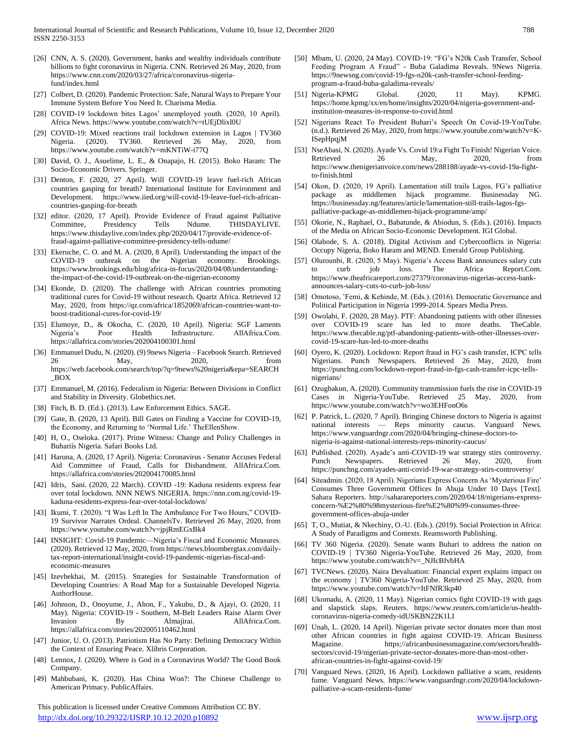- [26] CNN, A. S. (2020). Government, banks and wealthy individuals contribute billions to fight coronavirus in Nigeria. CNN. Retrieved 26 May, 2020, from https://www.cnn.com/2020/03/27/africa/coronavirus-nigeriafund/index.html
- [27] Colbert, D. (2020). Pandemic Protection: Safe, Natural Ways to Prepare Your Immune System Before You Need It. Charisma Media.
- [28] COVID-19 lockdown bites Lagos' unemployed youth. (2020, 10 April). Africa News. https://www.youtube.com/watch?v=tUEjDlixl0U
- [29] COVID-19: Mixed reactions trail lockdown extension in Lagos | TV360 Nigeria. (2020). TV360. Retrieved 26 May, 2020, from https://www.youtube.com/watch?v=mKNTiW-i77Q
- [30] David, O. J., Asuelime, L. E., & Onapajo, H. (2015). Boko Haram: The Socio-Economic Drivers. Springer.
- [31] Denton, F. (2020, 27 April). Will COVID-19 leave fuel-rich African countries gasping for breath? International Institute for Environment and Development. https://www.iied.org/will-covid-19-leave-fuel-rich-africancountries-gasping-for-breath
- [32] editor. (2020, 17 April). Provide Evidence of Fraud against Palliative Committee, Presidency Tells Ndume. THISDAYLIVE. https://www.thisdaylive.com/index.php/2020/04/17/provide-evidence-offraud-against-palliative-committee-presidency-tells-ndume/
- [33] Ekeruche, C. O. and M. A. (2020, 8 April). Understanding the impact of the COVID-19 outbreak on the Nigerian economy. Brookings. https://www.brookings.edu/blog/africa-in-focus/2020/04/08/understandingthe-impact-of-the-covid-19-outbreak-on-the-nigerian-economy
- [34] Ekonde, D. (2020). The challenge with African countries promoting traditional cures for Covid-19 without research. Quartz Africa. Retrieved 12 May, 2020, from https://qz.com/africa/1852069/african-countries-want-toboost-traditional-cures-for-covid-19/
- [35] Elumoye, D., & Okocha, C. (2020, 10 April). Nigeria: SGF Laments Nigeria's Poor Health Infrastructure. AllAfrica.Com. https://allafrica.com/stories/202004100301.html
- [36] Emmanuel Dudu, N. (2020). (9) 9news Nigeria Facebook Search. Retrieved 26 May, 2020, from https://web.facebook.com/search/top/?q=9news%20nigeria&epa=SEARCH \_BOX
- [37] Emmanuel, M. (2016). Federalism in Nigeria: Between Divisions in Conflict and Stability in Diversity. Globethics.net.
- [38] Fitch, B. D. (Ed.). (2013). Law Enforcement Ethics. SAGE.
- [39] Gate, B. (2020, 13 April). Bill Gates on Finding a Vaccine for COVID-19, the Economy, and Returning to 'Normal Life.' TheEllenShow.
- [40] H, O., Oseloka. (2017). Prime Witness: Change and Policy Challenges in Buhariís Nigeria. Safari Books Ltd.
- [41] Haruna, A. (2020, 17 April). Nigeria: Coronavirus Senator Accuses Federal Aid Committee of Fraud, Calls for Disbandment. AllAfrica.Com. https://allafrica.com/stories/202004170085.html
- [42] Idris, Sani. (2020, 22 March). COVID -19: Kaduna residents express fear over total lockdown. NNN NEWS NIGERIA. https://nnn.com.ng/covid-19 kaduna-residents-express-fear-over-total-lockdown/
- [43] Ikumi, T. (2020). "I Was Left In The Ambulance For Two Hours," COVID-19 Survivor Narrates Ordeal. ChannelsTv. Retrieved 26 May, 2020, from https://www.youtube.com/watch?v=jpjRmEGxBk4
- [44] INSIGHT: Covid-19 Pandemic—Nigeria's Fiscal and Economic Measures. (2020). Retrieved 12 May, 2020, from https://news.bloombergtax.com/dailytax-report-international/insight-covid-19-pandemic-nigerias-fiscal-andeconomic-measures
- [45] Izevbekhai, M. (2015). Strategies for Sustainable Transformation of Developing Countries: A Road Map for a Sustainable Developed Nigeria. AuthorHouse.
- [46] Johnson, D., Onoyume, J., Ahon, F., Yakubu, D., & Ajayi, O. (2020, 11 May). Nigeria: COVID-19 - Southern, M-Belt Leaders Raise Alarm Over Invasion By Almajirai. AllAfrica.Com. https://allafrica.com/stories/202005110462.html
- [47] Junior, U. O. (2013). Patriotism Has No Party: Defining Democracy Within the Context of Ensuring Peace. Xlibris Corporation.
- [48] Lennox, J. (2020). Where is God in a Coronavirus World? The Good Book Company.
- [49] Mahbubani, K. (2020). Has China Won?: The Chinese Challenge to American Primacy. PublicAffairs.

 This publication is licensed under Creative Commons Attribution CC BY. <http://dx.doi.org/10.29322/IJSRP.10.12.2020.p10892> [www.ijsrp.org](http://ijsrp.org/)

- [50] Mbam, U. (2020, 24 May). COVID-19: "FG's N20k Cash Transfer, School Feeding Program A Fraud" - Buba Galadima Reveals. 9News Nigeria. https://9newsng.com/covid-19-fgs-n20k-cash-transfer-school-feedingprogram-a-fraud-buba-galadima-reveals/
- [51] Nigeria-KPMG Global. (2020, 11 May). KPMG. https://home.kpmg/xx/en/home/insights/2020/04/nigeria-government-andinstitution-measures-in-response-to-covid.html
- [52] Nigerians React To President Buhari's Speech On Covid-19-YouTube. (n.d.). Retrieved 26 May, 2020, from https://www.youtube.com/watch?v=K-ISepHpqjM
- [53] NseAbasi, N. (2020). Ayade Vs. Covid 19:a Fight To Finish! Nigerian Voice. Retrieved 26 May, 2020, from https://www.thenigerianvoice.com/news/288188/ayade-vs-covid-19a-fightto-finish.html
- [54] Okon, D. (2020, 19 April). Lamentation still trails Lagos, FG's palliative package as middlemen hijack programme. Businessday NG. https://businessday.ng/features/article/lamentation-still-trails-lagos-fgspalliative-package-as-middlemen-hijack-programme/amp/
- [55] Okorie, N., Raphael, O., Babatunde, & Abiodun, S. (Eds.). (2016). Impacts of the Media on African Socio-Economic Development. IGI Global.
- [56] Olabode, S. A. (2018). Digital Activism and Cyberconflicts in Nigeria: Occupy Nigeria, Boko Haram and MEND. Emerald Group Publishing.
- [57] Olurounbi, R. (2020, 5 May). Nigeria's Access Bank announces salary cuts to curb job loss. The Africa Report.Com. https://www.theafricareport.com/27379/coronavirus-nigerias-access-bankannounces-salary-cuts-to-curb-job-loss/
- [58] Omotoso, 'Femi, & Kehinde, M. (Eds.). (2016). Democratic Governance and Political Participation in Nigeria 1999-2014. Spears Media Press.
- [59] Owolabi, F. (2020, 28 May). PTF: Abandoning patients with other illnesses over COVID-19 scare has led to more deaths. TheCable. https://www.thecable.ng/ptf-abandoning-patients-with-other-illnesses-overcovid-19-scare-has-led-to-more-deaths
- [60] Oyero, K. (2020). Lockdown: Report fraud in FG's cash transfer, ICPC tells Nigerians. Punch Newspapers. Retrieved 26 May, 2020, from https://punchng.com/lockdown-report-fraud-in-fgs-cash-transfer-icpc-tellsnigerians/
- [61] Ozugbakun, A. (2020). Community transmission fuels the rise in COVID-19 Cases in Nigeria-YouTube. Retrieved 25 May, 2020, from https://www.youtube.com/watch?v=wo3EHFonO6s
- [62] P. Patrick, L. (2020, 7 April). Bringing Chinese doctors to Nigeria is against national interests — Reps minority caucus. Vanguard News. https://www.vanguardngr.com/2020/04/bringing-chinese-doctors-tonigeria-is-against-national-interests-reps-minority-caucus/
- [63] Published. (2020). Ayade's anti-COVID-19 war strategy stirs controversy. Punch Newspapers. Retrieved 26 May, 2020, from https://punchng.com/ayades-anti-covid-19-war-strategy-stirs-controversy/
- [64] Siteadmin. (2020, 18 April). Nigerians Express Concern As 'Mysterious Fire' Consumes Three Government Offices In Abuja Under 10 Days [Text]. Sahara Reporters. http://saharareporters.com/2020/04/18/nigerians-expressconcern-%E2%80%98mysterious-fire%E2%80%99-consumes-threegovernment-offices-abuja-under
- [65] T, O., Mutiat, & Nkechiny, O.-U. (Eds.). (2019). Social Protection in Africa: A Study of Paradigms and Contexts. Reamsworth Publishing.
- [66] TV 360 Nigeria. (2020). Senate wants Buhari to address the nation on COVID-19 | TV360 Nigeria-YouTube. Retrieved 26 May, 2020, from https://www.youtube.com/watch?v=\_NJIcBfvbHA
- [67] TVCNews. (2020). Naira Devaluation: Financial expert explains impact on the economy | TV360 Nigeria-YouTube. Retrieved 25 May, 2020, from https://www.youtube.com/watch?v=ItFNfR3kp40
- [68] Ukomadu, A. (2020, 11 May). Nigerian comics fight COVID-19 with gags and slapstick slaps. Reuters. https://www.reuters.com/article/us-healthcoronavirus-nigeria-comedy-idUSKBN22K1LI
- [69] Unah, L. (2020, 14 April). Nigerian private sector donates more than most other African countries in fight against COVID-19. African Business Magazine. https://africanbusinessmagazine.com/sectors/healthsectors/covid-19/nigerian-private-sector-donates-more-than-most-otherafrican-countries-in-fight-against-covid-19/
- [70] Vanguard News. (2020, 16 April). Lockdown palliative a scam, residents fume. Vanguard News. https://www.vanguardngr.com/2020/04/lockdownpalliative-a-scam-residents-fume/